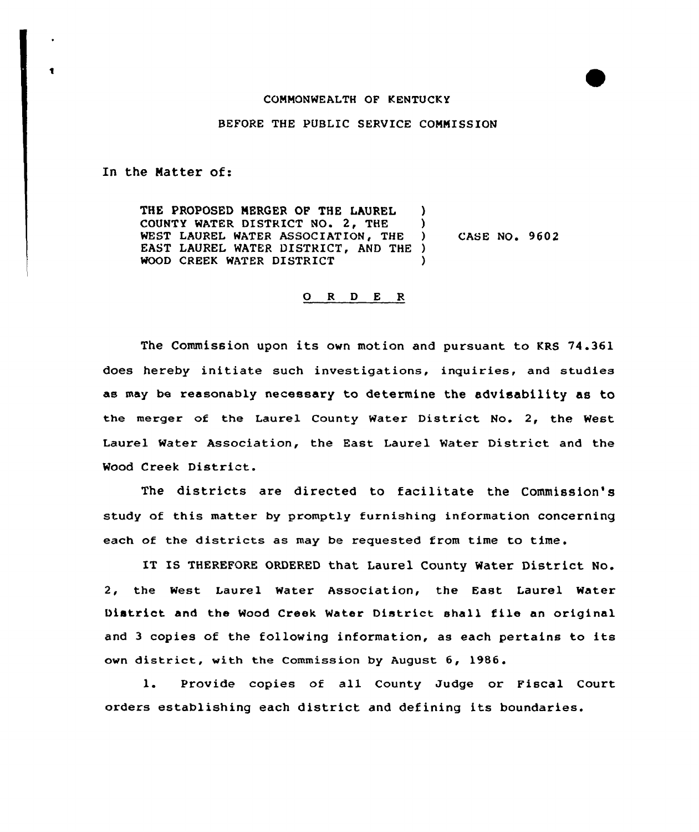## COMMONWEALTH OF KENTUCKY

## BEFORE THE PUBLIC SERVICE COMMISSION

In the Natter of:

 $\bullet$ 

THE PROPOSED MERGER OP THE LAUREL ) COUNTY WATER DISTRICT NO. 2, THE ) WEST LAUREL WATER ASSOCIATION, THE ) EAST LAUREL WATER DISTRICT, AND THE ) WOOD CREEK WATER DISTRICT CASE NO. 9602

## 0 <sup>R</sup> <sup>D</sup> E R

The Commission upon its own motion and pursuant to KRS 74.361 does hereby initiate such investigations, inquiries, and studies as may be reasonably necessary to determine the advisability as to the merger of the Laurel County Water District No. 2, the West Laurel Water Association, the East Laurel Water District and the Wood Creek District.

The districts are directed to facilitate the Commission's study of this matter by promptly furnishing information concerning each of the districts as may be requested from time to time.

IT IS THEREFORE ORDERED that Laurel County Water District No. 2, the West Laurel Water Association, the East Laurel Water District and the Wood Creek Water District shall file an original and <sup>3</sup> copies of the following information, as each pertains to its own district, with the Commission by August 6, 1986

Provide copies of all County Judge or Fiscal Court  $\mathbf{1}$ . orders establishing each district and defining its boundaries.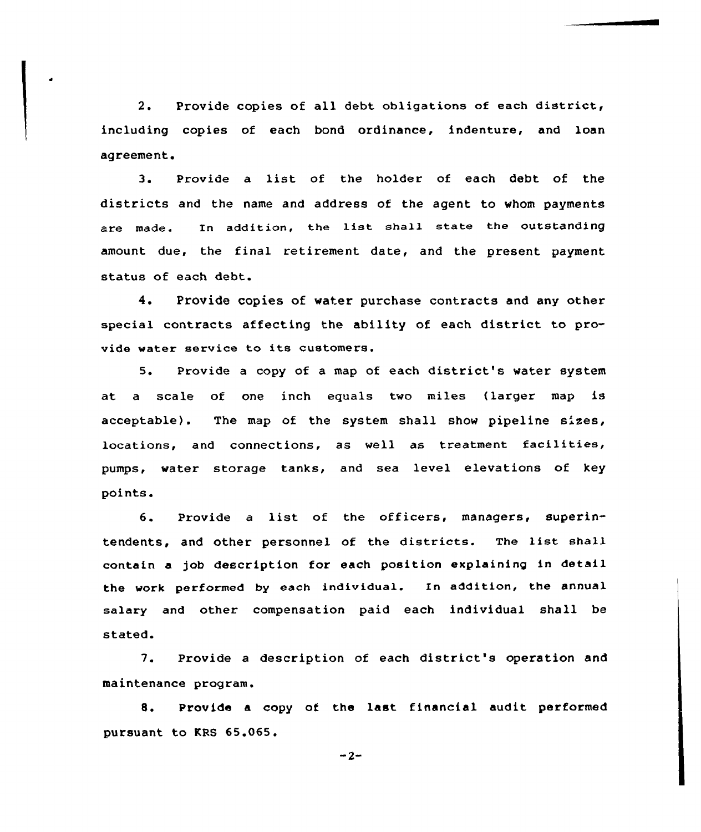2. Provide copies of all debt obligations of each district, including copies of each bond ordinance, indenture, and loan agreement.

3. Provide <sup>a</sup> list of the holder of each debt of the districts and the name and address of the agent to whom payments are made. In addition, the list shall state the outstanding amount due, the final retirement date, and the present payment status of each debt.

4. Provide copies of water purchase contracts and any other special contracts affecting the ability of each district to provide water sexvice to its customers.

5. Provide a copy of a map of each district's water system at a scale of one inch equals two miles (larger map is acceptable). The map of the system shall show pipeline sizes, locations, and connections, as well as treatment facilities, pumps, water storage tanks, and sea level elevations of key points.

6. Provide a list of the officers, managers, superintendents, and other personnel of the districts. The list shall contain a job description for each position explaining in detail the work performed by each individual. In addition, the annual salary and other compensation paid each individual shall be stated.

7. Provide <sup>a</sup> description of each district's operation and maintenance program.

8. Provide <sup>a</sup> copy of the last financial audit performed pursuant to KRS 65.065.

 $-2-$